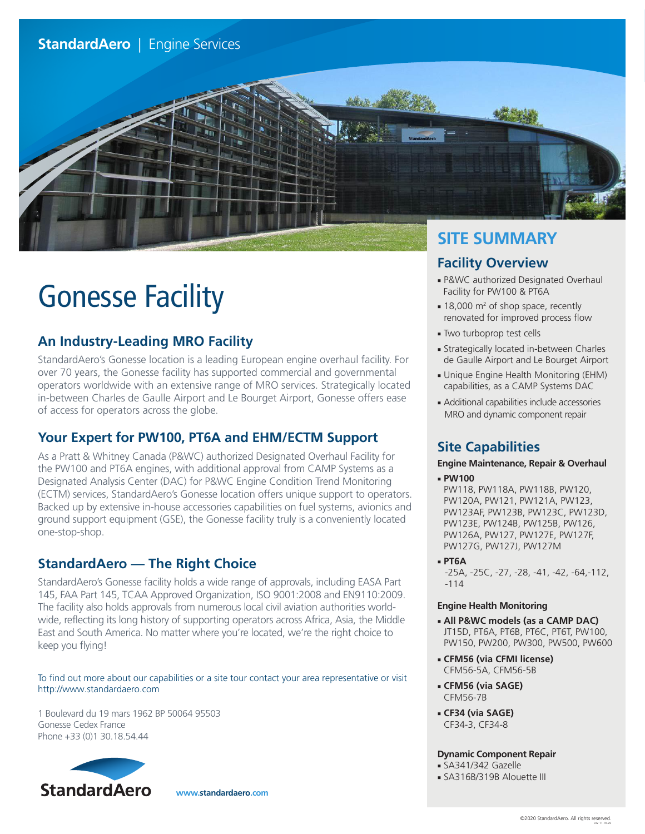# **StandardAero** | Engine Services



# Gonesse Facility

# **An Industry-Leading MRO Facility**

StandardAero's Gonesse location is a leading European engine overhaul facility. For over 70 years, the Gonesse facility has supported commercial and governmental operators worldwide with an extensive range of MRO services. Strategically located in-between Charles de Gaulle Airport and Le Bourget Airport, Gonesse offers ease of access for operators across the globe.

## **Your Expert for PW100, PT6A and EHM/ECTM Support**

As a Pratt & Whitney Canada (P&WC) authorized Designated Overhaul Facility for the PW100 and PT6A engines, with additional approval from CAMP Systems as a Designated Analysis Center (DAC) for P&WC Engine Condition Trend Monitoring (ECTM) services, StandardAero's Gonesse location offers unique support to operators. Backed up by extensive in-house accessories capabilities on fuel systems, avionics and ground support equipment (GSE), the Gonesse facility truly is a conveniently located one-stop-shop.

### **StandardAero — The Right Choice**

StandardAero's Gonesse facility holds a wide range of approvals, including EASA Part 145, FAA Part 145, TCAA Approved Organization, ISO 9001:2008 and EN9110:2009. The facility also holds approvals from numerous local civil aviation authorities worldwide, reflecting its long history of supporting operators across Africa, Asia, the Middle East and South America. No matter where you're located, we're the right choice to keep you flying!

#### To find out more about our capabilities or a site tour contact your area representative or visit http://www.standardaero.com

1 Boulevard du 19 mars 1962 BP 50064 95503 Gonesse Cedex France Phone +33 (0)1 30.18.54.44



**www.standardaero.com**

# **SITE SUMMARY**

# **Facility Overview**

- P&WC authorized Designated Overhaul Facility for PW100 & PT6A
- 18,000 m<sup>2</sup> of shop space, recently renovated for improved process flow
- Two turboprop test cells
- Strategically located in-between Charles de Gaulle Airport and Le Bourget Airport
- Unique Engine Health Monitoring (EHM) capabilities, as a CAMP Systems DAC
- Additional capabilities include accessories MRO and dynamic component repair

# **Site Capabilities**

### **Engine Maintenance, Repair & Overhaul**

- **PW100** PW118, PW118A, PW118B, PW120, PW120A, PW121, PW121A, PW123, PW123AF, PW123B, PW123C, PW123D, PW123E, PW124B, PW125B, PW126, PW126A, PW127, PW127E, PW127F, PW127G, PW127J, PW127M
- **PT6A**

-25A, -25C, -27, -28, -41, -42, -64,-112, -114

### **Engine Health Monitoring**

- **All P&WC models (as a CAMP DAC)** JT15D, PT6A, PT6B, PT6C, PT6T, PW100, PW150, PW200, PW300, PW500, PW600
- **CFM56 (via CFMI license)** CFM56-5A, CFM56-5B
- **CFM56 (via SAGE)** CFM56-7B
- **CF34 (via SAGE)** CF34-3, CF34-8

### **Dynamic Component Repair**

- SA341/342 Gazelle
- SA316B/319B Alouette III